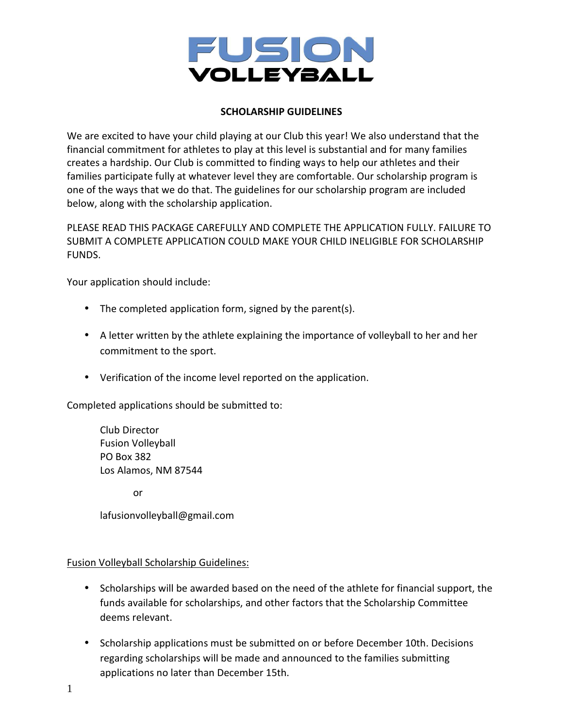

# **SCHOLARSHIP GUIDELINES**

We are excited to have your child playing at our Club this year! We also understand that the financial commitment for athletes to play at this level is substantial and for many families creates a hardship. Our Club is committed to finding ways to help our athletes and their families participate fully at whatever level they are comfortable. Our scholarship program is one of the ways that we do that. The guidelines for our scholarship program are included below, along with the scholarship application.

PLEASE READ THIS PACKAGE CAREFULLY AND COMPLETE THE APPLICATION FULLY. FAILURE TO SUBMIT A COMPLETE APPLICATION COULD MAKE YOUR CHILD INELIGIBLE FOR SCHOLARSHIP FUNDS.

Your application should include:

- The completed application form, signed by the parent(s).
- A letter written by the athlete explaining the importance of volleyball to her and her commitment to the sport.
- Verification of the income level reported on the application.

Completed applications should be submitted to:

Club Director Fusion Volleyball PO Box 382 Los Alamos, NM 87544

or

lafusionvolleyball@gmail.com

## Fusion Volleyball Scholarship Guidelines:

- Scholarships will be awarded based on the need of the athlete for financial support, the funds available for scholarships, and other factors that the Scholarship Committee deems relevant.
- Scholarship applications must be submitted on or before December 10th. Decisions regarding scholarships will be made and announced to the families submitting applications no later than December 15th.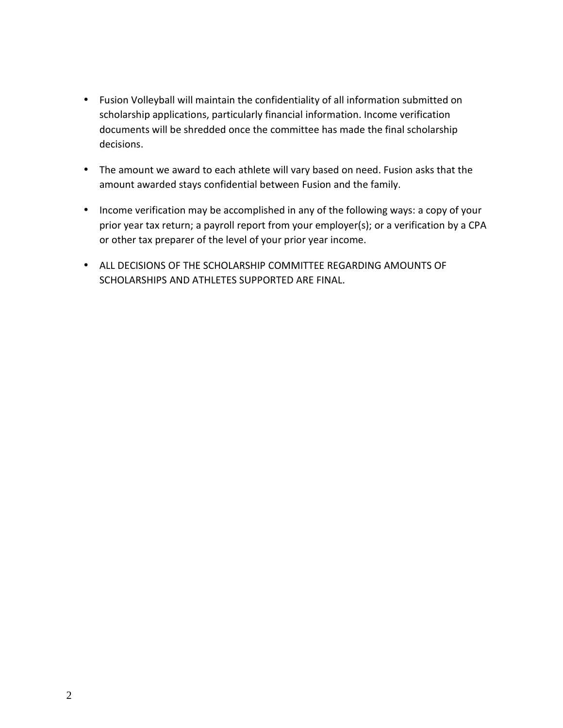- Fusion Volleyball will maintain the confidentiality of all information submitted on scholarship applications, particularly financial information. Income verification documents will be shredded once the committee has made the final scholarship decisions.
- The amount we award to each athlete will vary based on need. Fusion asks that the amount awarded stays confidential between Fusion and the family.
- Income verification may be accomplished in any of the following ways: a copy of your prior year tax return; a payroll report from your employer(s); or a verification by a CPA or other tax preparer of the level of your prior year income.
- ALL DECISIONS OF THE SCHOLARSHIP COMMITTEE REGARDING AMOUNTS OF SCHOLARSHIPS AND ATHLETES SUPPORTED ARE FINAL.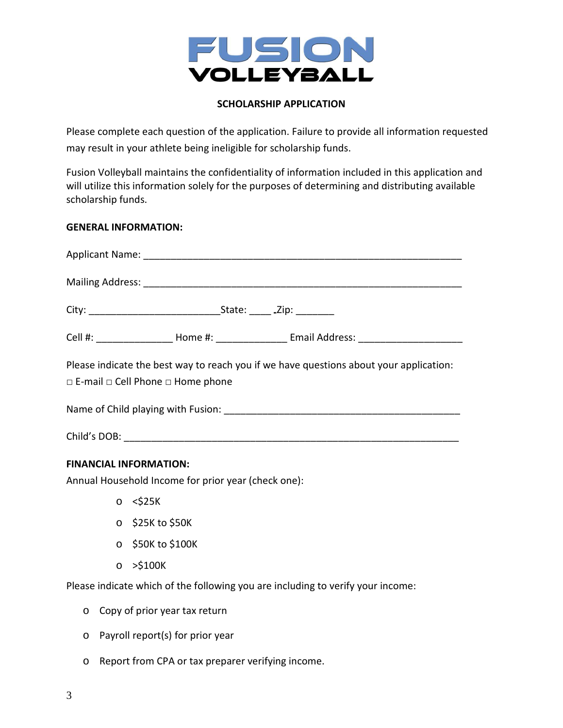

# **SCHOLARSHIP APPLICATION**

Please complete each question of the application. Failure to provide all information requested may result in your athlete being ineligible for scholarship funds.

Fusion Volleyball maintains the confidentiality of information included in this application and will utilize this information solely for the purposes of determining and distributing available scholarship funds.

## **GENERAL INFORMATION:**

|                                                                                                                                             |  | Cell #: _____________________ Home #: ______________________ Email Address: _______________________ |
|---------------------------------------------------------------------------------------------------------------------------------------------|--|-----------------------------------------------------------------------------------------------------|
| Please indicate the best way to reach you if we have questions about your application:<br>$\Box$ E-mail $\Box$ Cell Phone $\Box$ Home phone |  |                                                                                                     |
|                                                                                                                                             |  |                                                                                                     |
| Child's DOB:                                                                                                                                |  |                                                                                                     |

## **FINANCIAL INFORMATION:**

Annual Household Income for prior year (check one):

- $\circ$  <\$25K
- o \$25K to \$50K
- o \$50K to \$100K
- o >\$100K

Please indicate which of the following you are including to verify your income:

- o Copy of prior year tax return
- o Payroll report(s) for prior year
- o Report from CPA or tax preparer verifying income.